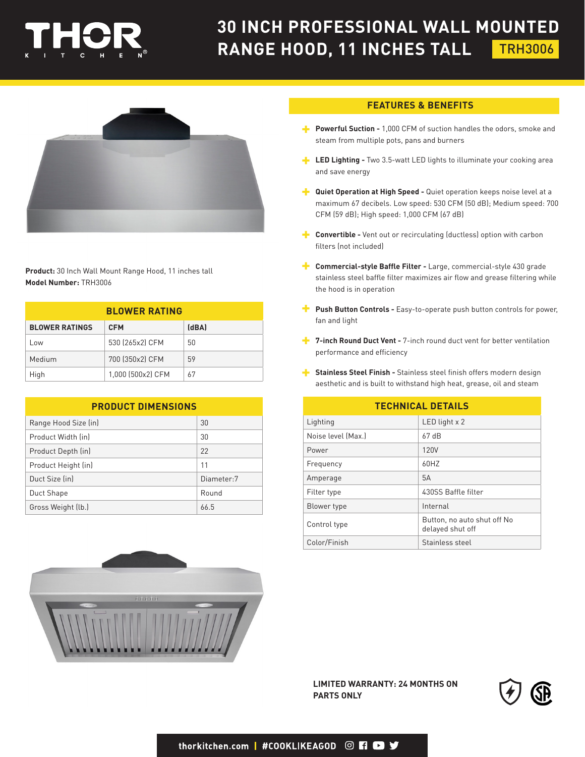

## **30 INCH PROFESSIONAL WALL MOUNTED RANGE HOOD, 11 INCHES TALL** TRH3006



**Product:** 30 Inch Wall Mount Range Hood, 11 inches tall **Model Number:** TRH3006

| <b>BLOWER RATING</b>  |                   |       |  |
|-----------------------|-------------------|-------|--|
| <b>BLOWER RATINGS</b> | <b>CFM</b>        | (dBA) |  |
| Low                   | 530 (265x2) CFM   | 50    |  |
| Medium                | 700 (350x2) CFM   | 59    |  |
| High                  | 1,000 (500x2) CFM | 67    |  |

| <b>PRODUCT DIMENSIONS</b> |            |  |
|---------------------------|------------|--|
| Range Hood Size (in)      | 30         |  |
| Product Width (in)        | 30         |  |
| Product Depth (in)        | 22         |  |
| Product Height (in)       | 11         |  |
| Duct Size (in)            | Diameter:7 |  |
| Duct Shape                | Round      |  |
| Gross Weight (lb.)        | 66.5       |  |



## **FEATURES & BENEFITS**

- **Powerful Suction -** 1,000 CFM of suction handles the odors, smoke and steam from multiple pots, pans and burners
- **LED Lighting -** Two 3.5-watt LED lights to illuminate your cooking area and save energy
- **Quiet Operation at High Speed -** Quiet operation keeps noise level at a maximum 67 decibels. Low speed: 530 CFM (50 dB); Medium speed: 700 CFM (59 dB); High speed: 1,000 CFM (67 dB)
- **Convertible -** Vent out or recirculating (ductless) option with carbon filters (not included)
- **F** Commercial-style Baffle Filter Large, commercial-style 430 grade stainless steel baffle filter maximizes air flow and grease filtering while the hood is in operation
- **Push Button Controls -** Easy-to-operate push button controls for power, fan and light
- **7-inch Round Duct Vent -** 7-inch round duct vent for better ventilation performance and efficiency
- **Stainless Steel Finish -** Stainless steel finish offers modern design aesthetic and is built to withstand high heat, grease, oil and steam

| <b>TECHNICAL DETAILS</b> |                                                 |  |
|--------------------------|-------------------------------------------------|--|
| Lighting                 | LED light $x$ 2                                 |  |
| Noise level (Max.)       | 67dB                                            |  |
| Power                    | 120V                                            |  |
| Frequency                | 60HZ                                            |  |
| Amperage                 | 5A                                              |  |
| Filter type              | 430SS Baffle filter                             |  |
| Blower type              | Internal                                        |  |
| Control type             | Button, no auto shut off No<br>delayed shut off |  |
| Color/Finish             | Stainless steel                                 |  |

**LIMITED WARRANTY: 24 MONTHS ON PARTS ONLY**